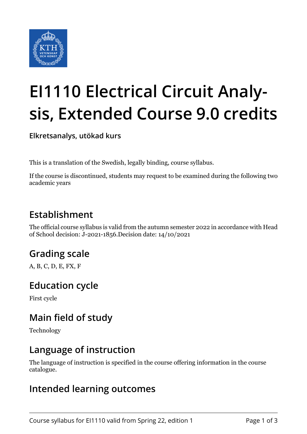

# **EI1110 Electrical Circuit Analysis, Extended Course 9.0 credits**

**Elkretsanalys, utökad kurs**

This is a translation of the Swedish, legally binding, course syllabus.

If the course is discontinued, students may request to be examined during the following two academic years

# **Establishment**

The official course syllabus is valid from the autumn semester 2022 in accordance with Head of School decision: J-2021-1856.Decision date: 14/10/2021

## **Grading scale**

A, B, C, D, E, FX, F

## **Education cycle**

First cycle

## **Main field of study**

Technology

#### **Language of instruction**

The language of instruction is specified in the course offering information in the course catalogue.

#### **Intended learning outcomes**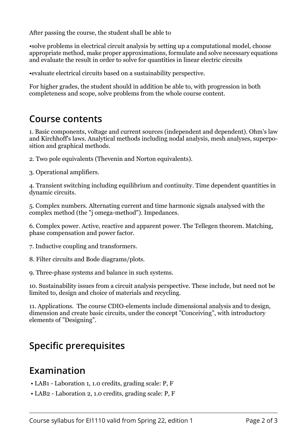After passing the course, the student shall be able to

•solve problems in electrical circuit analysis by setting up a computational model, choose appropriate method, make proper approximations, formulate and solve necessary equations and evaluate the result in order to solve for quantities in linear electric circuits

•evaluate electrical circuits based on a sustainability perspective.

For higher grades, the student should in addition be able to, with progression in both completeness and scope, solve problems from the whole course content.

#### **Course contents**

1. Basic components, voltage and current sources (independent and dependent). Ohm's law and Kirchhoff's laws. Analytical methods including nodal analysis, mesh analyses, superposition and graphical methods.

2. Two pole equivalents (Thevenin and Norton equivalents).

3. Operational amplifiers.

4. Transient switching including equilibrium and continuity. Time dependent quantities in dynamic circuits.

5. Complex numbers. Alternating current and time harmonic signals analysed with the complex method (the "j omega-method"). Impedances.

6. Complex power. Active, reactive and apparent power. The Tellegen theorem. Matching, phase compensation and power factor.

7. Inductive coupling and transformers.

8. Filter circuits and Bode diagrams/plots.

9. Three-phase systems and balance in such systems.

10. Sustainability issues from a circuit analysis perspective. These include, but need not be limited to, design and choice of materials and recycling.

11. Applications. The course CDIO-elements include dimensional analysis and to design, dimension and create basic circuits, under the concept "Conceiving", with introductory elements of "Designing".

## **Specific prerequisites**

## **Examination**

- LAB1 Laboration 1, 1.0 credits, grading scale: P, F
- LAB2 Laboration 2, 1.0 credits, grading scale: P, F